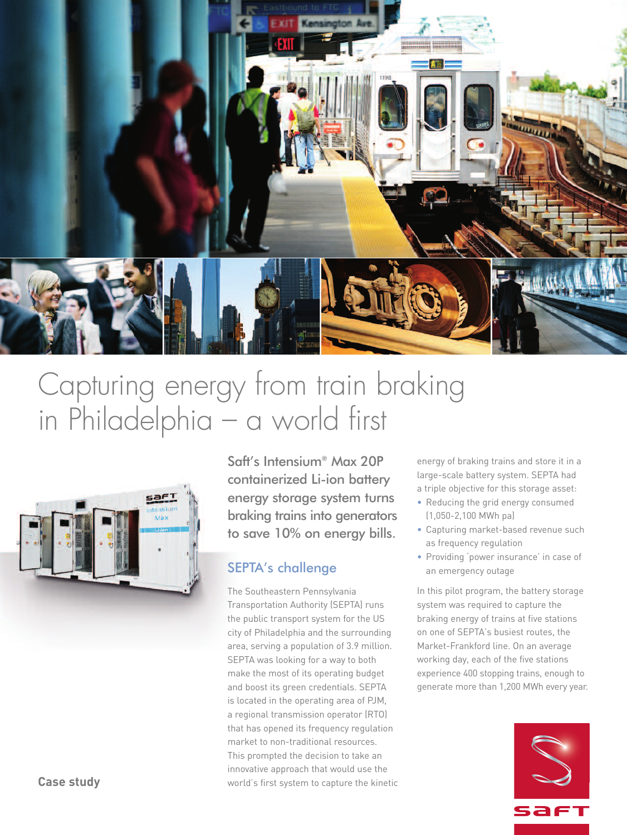

# Capturing energy from train braking in Philadelphia – a world first



Saft's Intensium® Max 20P containerized Li-ion battery energy storage system turns braking trains into generators to save 10% on energy bills.

## SEPTA's challenge

The Southeastern Pennsylvania Transportation Authority (SEPTA) runs the public transport system for the US city of Philadelphia and the surrounding area, serving a population of 3.9 million. SEPTA was looking for a way to both make the most of its operating budget and boost its green credentials. SEPTA is located in the operating area of PJM, a regional transmission operator (RTO) that has opened its frequency regulation market to non-traditional resources. This prompted the decision to take an innovative approach that would use the world's first system to capture the kinetic

energy of braking trains and store it in a large-scale battery system. SEPTA had a triple objective for this storage asset:

- Reducing the grid energy consumed (1,050-2,100 MWh pa)
- Capturing market-based revenue such as frequency regulation
- Providing 'power insurance' in case of an emergency outage

In this pilot program, the battery storage system was required to capture the braking energy of trains at five stations on one of SEPTA's busiest routes, the Market-Frankford line. On an average working day, each of the five stations experience 400 stopping trains, enough to generate more than 1,200 MWh every year.